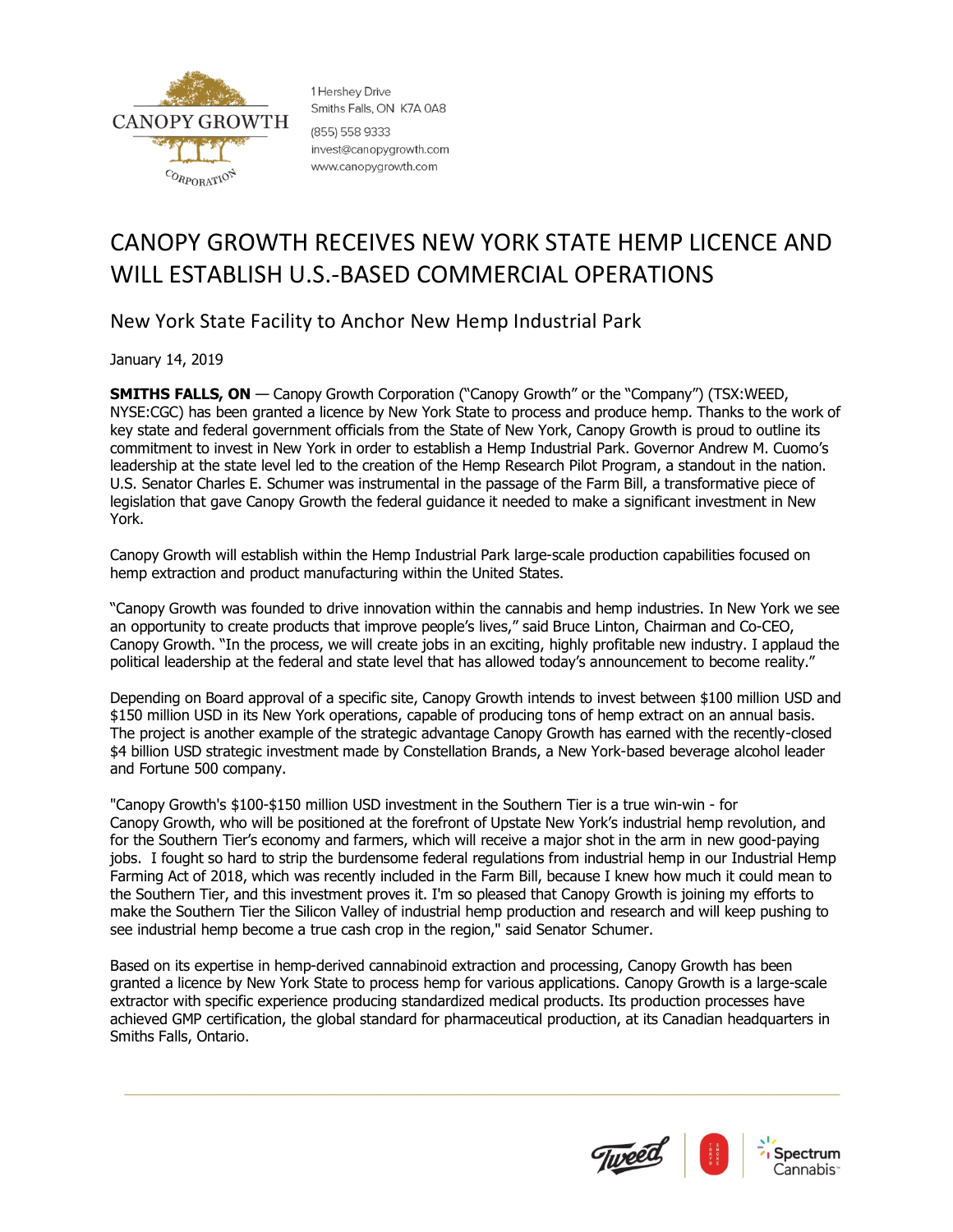

1 Hershev Drive Smiths Falls, ON K7A 0A8 (855) 558 9333 invest@canopygrowth.com www.canopygrowth.com

## CANOPY GROWTH RECEIVES NEW YORK STATE HEMP LICENCE AND WILL ESTABLISH U.S.-BASED COMMERCIAL OPERATIONS

New York State Facility to Anchor New Hemp Industrial Park

January 14, 2019

**SMITHS FALLS, ON** — Canopy Growth Corporation ("Canopy Growth" or the "Company") (TSX:WEED, NYSE:CGC) has been granted a licence by New York State to process and produce hemp. Thanks to the work of key state and federal government officials from the State of New York, Canopy Growth is proud to outline its commitment to invest in New York in order to establish a Hemp Industrial Park. Governor Andrew M. Cuomo's leadership at the state level led to the creation of the Hemp Research Pilot Program, a standout in the nation. U.S. Senator Charles E. Schumer was instrumental in the passage of the Farm Bill, a transformative piece of legislation that gave Canopy Growth the federal guidance it needed to make a significant investment in New York.

Canopy Growth will establish within the Hemp Industrial Park large-scale production capabilities focused on hemp extraction and product manufacturing within the United States.

"Canopy Growth was founded to drive innovation within the cannabis and hemp industries. In New York we see an opportunity to create products that improve people's lives," said Bruce Linton, Chairman and Co-CEO, Canopy Growth. "In the process, we will create jobs in an exciting, highly profitable new industry. I applaud the political leadership at the federal and state level that has allowed today's announcement to become reality."

Depending on Board approval of a specific site, Canopy Growth intends to invest between \$100 million USD and \$150 million USD in its New York operations, capable of producing tons of hemp extract on an annual basis. The project is another example of the strategic advantage Canopy Growth has earned with the recently-closed \$4 billion USD strategic investment made by Constellation Brands, a New York-based beverage alcohol leader and Fortune 500 company.

"Canopy Growth's \$100-\$150 million USD investment in the Southern Tier is a true win-win - for Canopy Growth, who will be positioned at the forefront of Upstate New York's industrial hemp revolution, and for the Southern Tier's economy and farmers, which will receive a major shot in the arm in new good-paying jobs. I fought so hard to strip the burdensome federal regulations from industrial hemp in our Industrial Hemp Farming Act of 2018, which was recently included in the Farm Bill, because I knew how much it could mean to the Southern Tier, and this investment proves it. I'm so pleased that Canopy Growth is joining my efforts to make the Southern Tier the Silicon Valley of industrial hemp production and research and will keep pushing to see industrial hemp become a true cash crop in the region," said Senator Schumer.

Based on its expertise in hemp-derived cannabinoid extraction and processing, Canopy Growth has been granted a licence by New York State to process hemp for various applications. Canopy Growth is a large-scale extractor with specific experience producing standardized medical products. Its production processes have achieved GMP certification, the global standard for pharmaceutical production, at its Canadian headquarters in Smiths Falls, Ontario.

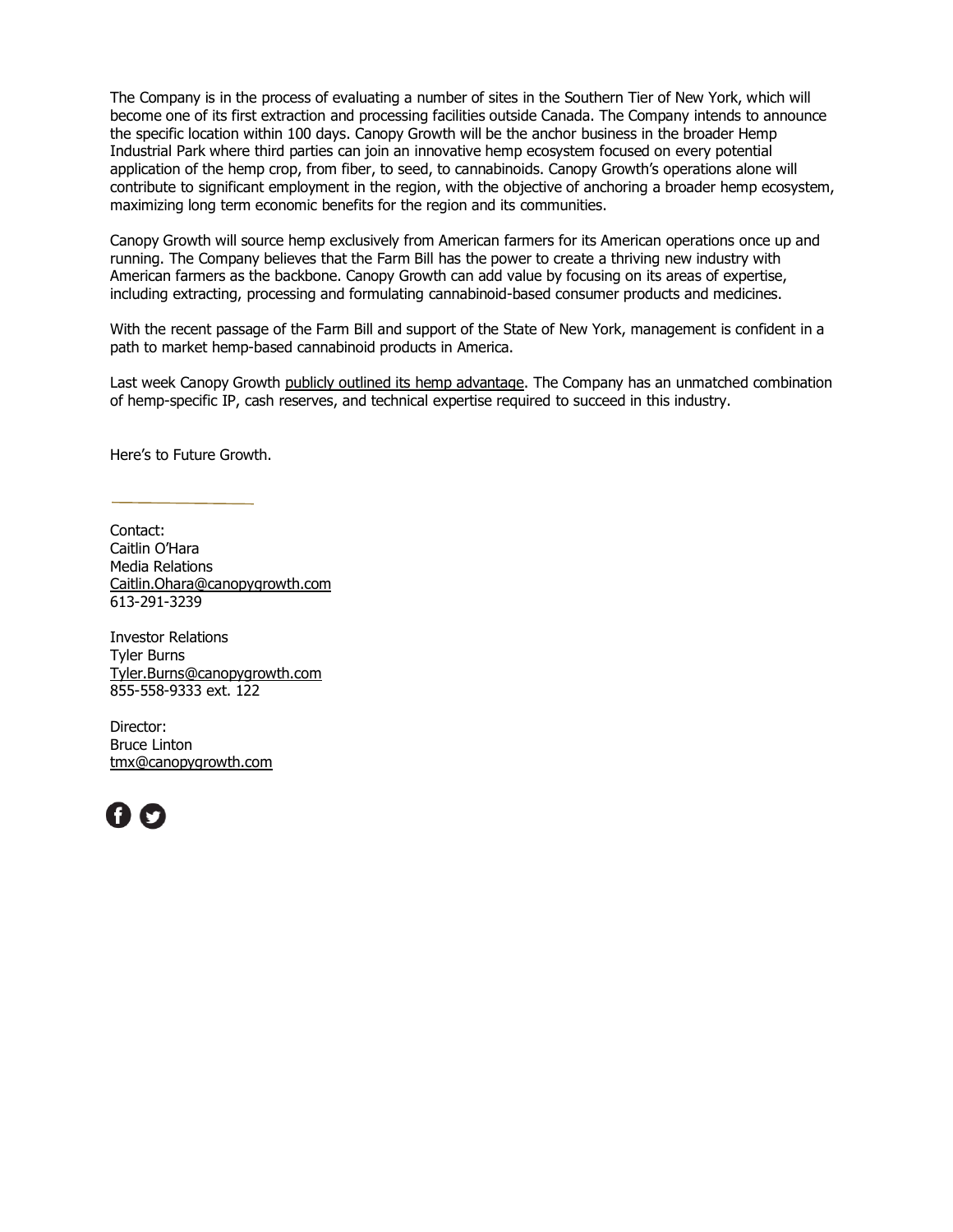The Company is in the process of evaluating a number of sites in the Southern Tier of New York, which will become one of its first extraction and processing facilities outside Canada. The Company intends to announce the specific location within 100 days. Canopy Growth will be the anchor business in the broader Hemp Industrial Park where third parties can join an innovative hemp ecosystem focused on every potential application of the hemp crop, from fiber, to seed, to cannabinoids. Canopy Growth's operations alone will contribute to significant employment in the region, with the objective of anchoring a broader hemp ecosystem, maximizing long term economic benefits for the region and its communities.

Canopy Growth will source hemp exclusively from American farmers for its American operations once up and running. The Company believes that the Farm Bill has the power to create a thriving new industry with American farmers as the backbone. Canopy Growth can add value by focusing on its areas of expertise, including extracting, processing and formulating cannabinoid-based consumer products and medicines.

With the recent passage of the Farm Bill and support of the State of New York, management is confident in a path to market hemp-based cannabinoid products in America.

Last week Canopy Growth [publicly outlined its hemp](https://www.newswire.ca/news-releases/canopy-growth-outlines-its-cbd-advantage-807672559.html) advantage. The Company has an unmatched combination of hemp-specific IP, cash reserves, and technical expertise required to succeed in this industry.

Here's to Future Growth.

Contact: Caitlin O'Hara Media Relations [Caitlin.Ohara@canopygrowth.com](mailto:Caitlin.Ohara@canopygrowth.com) 613-291-3239

Investor Relations Tyler Burns [Tyler.Burns@canopygrowth.com](mailto:Tyler.Burns@canopygrowth.com) 855-558-9333 ext. 122

Director: Bruce Linton [tmx@canopygrowth.com](mailto:tmx@canopygrowth.com)